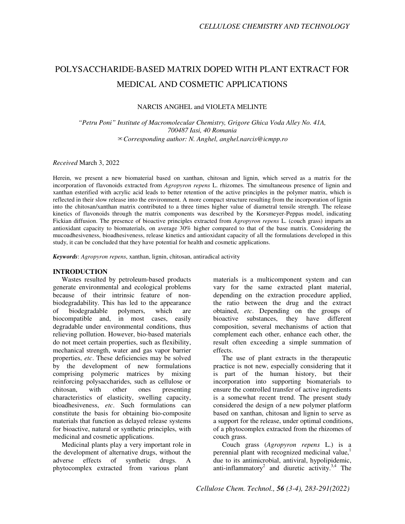# POLYSACCHARIDE-BASED MATRIX DOPED WITH PLANT EXTRACT FOR MEDICAL AND COSMETIC APPLICATIONS

NARCIS ANGHEL and VIOLETA MELINTE

*"Petru Poni" Institute of Macromolecular Chemistry, Grigore Ghica Voda Alley No. 41A, 700487 Iasi, 40 Romania*  ✉*Corresponding author: N. Anghel, anghel.narcis@icmpp.ro* 

*Received* March 3, 2022

Herein, we present a new biomaterial based on xanthan, chitosan and lignin, which served as a matrix for the incorporation of flavonoids extracted from *Agropyron repens* L. rhizomes. The simultaneous presence of lignin and xanthan esterified with acrylic acid leads to better retention of the active principles in the polymer matrix, which is reflected in their slow release into the environment. A more compact structure resulting from the incorporation of lignin into the chitosan/xanthan matrix contributed to a three times higher value of diametral tensile strength. The release kinetics of flavonoids through the matrix components was described by the Korsmeyer-Peppas model, indicating Fickian diffusion. The presence of bioactive principles extracted from *Agropyron repens* L. (couch grass) imparts an antioxidant capacity to biomaterials, on average 30% higher compared to that of the base matrix. Considering the mucoadhesiveness, bioadhesiveness, release kinetics and antioxidant capacity of all the formulations developed in this study, it can be concluded that they have potential for health and cosmetic applications.

*Keywords*: *Agropyron repens*, xanthan, lignin, chitosan, antiradical activity

# **INTRODUCTION**

Wastes resulted by petroleum-based products generate environmental and ecological problems because of their intrinsic feature of nonbiodegradability. This has led to the appearance of biodegradable polymers, which are biocompatible and, in most cases, easily degradable under environmental conditions, thus relieving pollution. However, bio-based materials do not meet certain properties, such as flexibility, mechanical strength, water and gas vapor barrier properties, *etc*. These deficiencies may be solved by the development of new formulations comprising polymeric matrices by mixing reinforcing polysaccharides, such as cellulose or chitosan, with other ones presenting characteristics of elasticity, swelling capacity, bioadhesiveness, *etc*. Such formulations can constitute the basis for obtaining bio-composite materials that function as delayed release systems for bioactive, natural or synthetic principles, with medicinal and cosmetic applications.

Medicinal plants play a very important role in the development of alternative drugs, without the adverse effects of synthetic drugs. A phytocomplex extracted from various plant

materials is a multicomponent system and can vary for the same extracted plant material, depending on the extraction procedure applied, the ratio between the drug and the extract obtained, *etc*. Depending on the groups of bioactive substances, they have different composition, several mechanisms of action that complement each other, enhance each other, the result often exceeding a simple summation of effects.

The use of plant extracts in the therapeutic practice is not new, especially considering that it is part of the human history, but their incorporation into supporting biomaterials to ensure the controlled transfer of active ingredients is a somewhat recent trend. The present study considered the design of a new polymer platform based on xanthan, chitosan and lignin to serve as a support for the release, under optimal conditions, of a phytocomplex extracted from the rhizomes of couch grass.

Couch grass (*Agropyron repens* L.) is a perennial plant with recognized medicinal value.<sup>1</sup> due to its antimicrobial, antiviral, hypolipidemic, anti-inflammatory<sup>2</sup> and diuretic activity.<sup>3,4</sup> The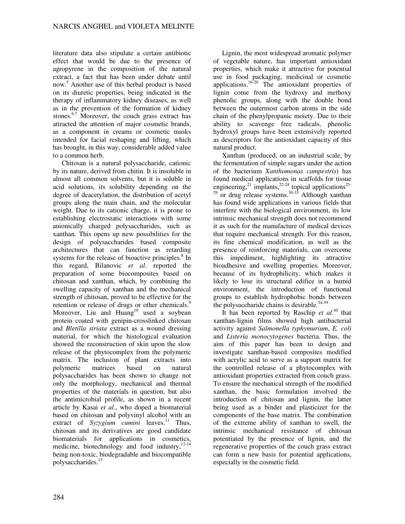literature data also stipulate a certain antibiotic effect that would be due to the presence of agropyrene in the composition of the natural extract, a fact that has been under debate until now.<sup>5</sup> Another use of this herbal product is based on its diuretic properties, being indicated in the therapy of inflammatory kidney diseases, as well as in the prevention of the formation of kidney stones.<sup>6,7</sup> Moreover, the couch grass extract has attracted the attention of major cosmetic brands, as a component in creams or cosmetic masks intended for facial reshaping and lifting, which has brought, in this way, considerable added value to a common herb.

Chitosan is a natural polysaccharide, cationic by its nature, derived from chitin. It is insoluble in almost all common solvents, but it is soluble in acid solutions, its solubility depending on the degree of deacetylation, the distribution of acetyl groups along the main chain, and the molecular weight. Due to its cationic charge, it is prone to establishing electrostatic interactions with some anionically charged polysaccharides, such as xanthan. This opens up new possibilities for the design of polysaccharides based composite architectures that can function as retarding systems for the release of bioactive principles. $8 \text{ In }$ this regard, Bilanovic *et al*. reported the preparation of some biocomposites based on chitosan and xanthan, which, by combining the swelling capacity of xanthan and the mechanical strength of chitosan, proved to be effective for the retention or release of drugs or other chemicals.<sup>9</sup> Moreover, Liu and Huang<sup>10</sup> used a soybean protein coated with genipin-crosslinked chitosan and *Bletilla striata* extract as a wound dressing material, for which the histological evaluation showed the reconstruction of skin upon the slow release of the phytocomplex from the polymeric matrix. The inclusion of plant extracts into polymeric matrices based on natural polysaccharides has been shown to change not only the morphology, mechanical and thermal properties of the materials in question, but also the antimicrobial profile, as shown in a recent article by Kasai *et al*., who doped a biomaterial based on chitosan and polyvinyl alcohol with an extract of *Syzygium cumini* leaves.<sup>11</sup> Thus, chitosan and its derivatives are good candidate biomaterials for applications in cosmetics, medicine, biotechnology and food industry,<sup>12-14</sup> being non-toxic, biodegradable and biocompatible polysaccharides.<sup>15</sup>

Lignin, the most widespread aromatic polymer of vegetable nature, has important antioxidant properties, which make it attractive for potential use in food packaging, medicinal or cosmetic applications.16-20 The antioxidant properties of lignin come from the hydroxy and methoxy phenolic groups, along with the double bond between the outermost carbon atoms in the side chain of the phenylpropanic moiety. Due to their ability to scavenge free radicals, phenolic hydroxyl groups have been extensively reported as descriptors for the antioxidant capacity of this natural product.

Xanthan (produced, on an industrial scale, by the fermentation of simple sugars under the action of the bacterium *Xanthomonas campestris*) has found medical applications in scaffolds for tissue engineering,<sup>21</sup> implants,<sup>22-24</sup> topical applications<sup>25-1</sup>  $29$  or drug release systems.<sup>30-33</sup> Although xanthan has found wide applications in various fields that interfere with the biological environment, its low intrinsic mechanical strength does not recommend it as such for the manufacture of medical devices that require mechanical strength. For this reason, its fine chemical modification, as well as the presence of reinforcing materials, can overcome this impediment, highlighting its attractive bioadhesive and swelling properties. Moreover, because of its hydrophilicity, which makes it likely to lose its structural edifice in a humid environment, the introduction of functional groups to establish hydrophobic bonds between the polysaccharide chains is desirable. $34-39$ 

It has been reported by Raschip *et al*. <sup>40</sup> that xanthan-lignin films showed high antibacterial activity against *Salmonella typhymurium*, *E. coli* and *Listeria monocytogenes* bacteria. Thus, the aim of this paper has been to design and investigate xanthan-based composites modified with acrylic acid to serve as a support matrix for the controlled release of a phytocomplex with antioxidant properties extracted from couch grass. To ensure the mechanical strength of the modified xanthan, the basic formulation involved the introduction of chitosan and lignin, the latter being used as a binder and plasticizer for the components of the base matrix. The combination of the extreme ability of xanthan to swell, the intrinsic mechanical resistance of chitosan potentiated by the presence of lignin, and the regenerative properties of the couch grass extract can form a new basis for potential applications, especially in the cosmetic field.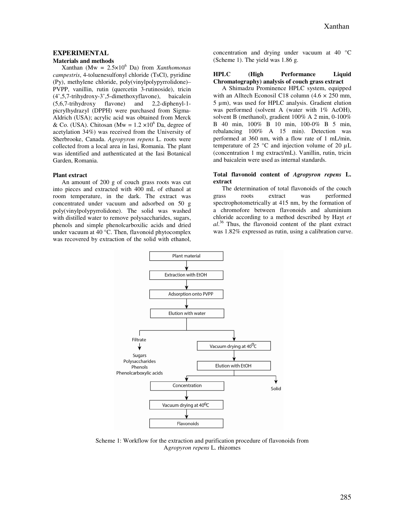# **EXPERIMENTAL**

# **Materials and methods**

 $X$ anthan (Mw =  $2.5 \times 10^6$  Da) from *Xanthomonas campestris*, 4-toluenesulfonyl chloride (TsCl), pyridine (Py), methylene chloride, poly(vinylpolypyrrolidone)– PVPP, vanillin, rutin (quercetin 3-rutinoside), tricin (4',5,7-trihydroxy-3',5-dimethoxyflavone), baicalein (5,6,7-trihydroxy flavone) and 2,2-diphenyl-1 picrylhydrazyl (DPPH) were purchased from Sigma-Aldrich (USA); acrylic acid was obtained from Merck & Co. (USA). Chitosan (Mw =  $1.2 \times 10^6$  Da, degree of acetylation 34%) was received from the University of Sherbrooke, Canada. *Agropyron repens* L. roots were collected from a local area in Iasi, Romania. The plant was identified and authenticated at the Iasi Botanical Garden, Romania.

#### **Plant extract**

An amount of 200 g of couch grass roots was cut into pieces and extracted with 400 mL of ethanol at room temperature, in the dark. The extract was concentrated under vacuum and adsorbed on 50 g poly(vinylpolypyrrolidone). The solid was washed with distilled water to remove polysaccharides, sugars, phenols and simple phenolcarboxilic acids and dried under vacuum at 40 °C. Then, flavonoid phytocomplex was recovered by extraction of the solid with ethanol,

concentration and drying under vacuum at 40 °C (Scheme 1). The yield was 1.86 g.

#### **HPLC (High Performance Liquid Chromatography) analysis of couch grass extract**

A Shimadzu Prominence HPLC system, equipped with an Alltech Econosil C18 column  $(4.6 \times 250 \text{ mm})$ , 5 µm), was used for HPLC analysis. Gradient elution was performed (solvent A (water with 1% AcOH), solvent B (methanol), gradient 100% A 2 min, 0-100% B 40 min, 100% B 10 min, 100-0% B 5 min, rebalancing 100% A 15 min). Detection was performed at 360 nm, with a flow rate of 1 mL/min, temperature of 25  $\degree$ C and injection volume of 20  $\mu$ L (concentration 1 mg extract/mL). Vanillin, rutin, tricin and baicalein were used as internal standards.

#### **Total flavonoid content of** *Agropyron repens* **L. extract**

The determination of total flavonoids of the couch grass roots extract was performed spectrophotometrically at 415 nm, by the formation of a chromofore between flavonoids and aluminium chloride according to a method described by Hayt *et al*. <sup>36</sup> Thus, the flavonoid content of the plant extract was 1.82% expressed as rutin, using a calibration curve.



Scheme 1: Workflow for the extraction and purification procedure of flavonoids from A*gropyron repens* L. rhizomes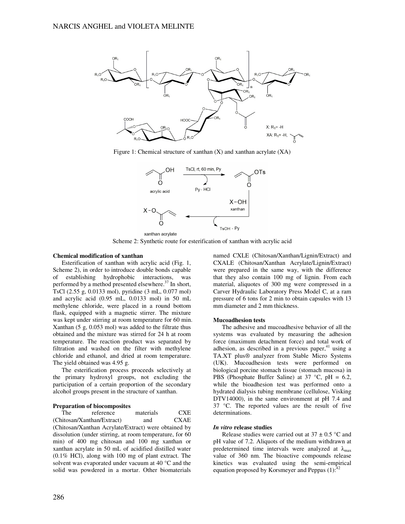

Figure 1: Chemical structure of xanthan (X) and xanthan acrylate (XA)



Scheme 2: Synthetic route for esterification of xanthan with acrylic acid

#### **Chemical modification of xanthan**

Esterification of xanthan with acrylic acid (Fig. 1, Scheme 2), in order to introduce double bonds capable of establishing hydrophobic interactions, was performed by a method presented elsewhere. $37$  In short, TsCl (2.55 g, 0.0133 mol), pyridine (3 mL, 0.077 mol) and acrylic acid (0.95 mL, 0.0133 mol) in 50 mL methylene chloride, were placed in a round bottom flask, equipped with a magnetic stirrer. The mixture was kept under stirring at room temperature for 60 min. Xanthan (5 g, 0.053 mol) was added to the filtrate thus obtained and the mixture was stirred for 24 h at room temperature. The reaction product was separated by filtration and washed on the filter with methylene chloride and ethanol, and dried at room temperature. The yield obtained was 4.95 g.

The esterification process proceeds selectively at the primary hydroxyl groups, not excluding the participation of a certain proportion of the secondary alcohol groups present in the structure of xanthan.

#### **Preparation of biocomposites**

The reference materials CXE (Chitosan/Xanthan/Extract) and CXAE (Chitosan/Xanthan Acrylate/Extract) were obtained by dissolution (under stirring, at room temperature, for 60 min) of 400 mg chitosan and 100 mg xanthan or xanthan acrylate in 50 mL of acidified distilled water (0.1% HCl), along with 100 mg of plant extract. The solvent was evaporated under vacuum at 40 °C and the solid was powdered in a mortar. Other biomaterials named CXLE (Chitosan/Xanthan/Lignin/Extract) and CXALE (Chitosan/Xanthan Acrylate/Lignin/Extract) were prepared in the same way, with the difference that they also contain 100 mg of lignin. From each material, aliquotes of 300 mg were compressed in a Carver Hydraulic Laboratory Press Model C, at a ram pressure of 6 tons for 2 min to obtain capsules with 13 mm diameter and 2 mm thickness.

#### **Mucoadhesion tests**

The adhesive and mucoadhesive behavior of all the systems was evaluated by measuring the adhesion force (maximum detachment force) and total work of adhesion, as described in a previous paper, $41$  using a TA.XT plus® analyzer from Stable Micro Systems (UK). Mucoadhesion tests were performed on biological porcine stomach tissue (stomach mucosa) in PBS (Phosphate Buffer Saline) at  $37^{\circ}$ C, pH = 6.2, while the bioadhesion test was performed onto a hydrated dialysis tubing membrane (cellulose, Visking DTV14000), in the same environment at pH 7.4 and 37 °C. The reported values are the result of five determinations.

#### *In vitro* **release studies**

Release studies were carried out at  $37 \pm 0.5$  °C and pH value of 7.2. Aliquots of the medium withdrawn at predetermined time intervals were analyzed at  $\lambda_{\text{max}}$ value of 360 nm. The bioactive compounds release kinetics was evaluated using the semi-empirical equation proposed by Korsmeyer and Peppas  $(1)$ :<sup>42</sup>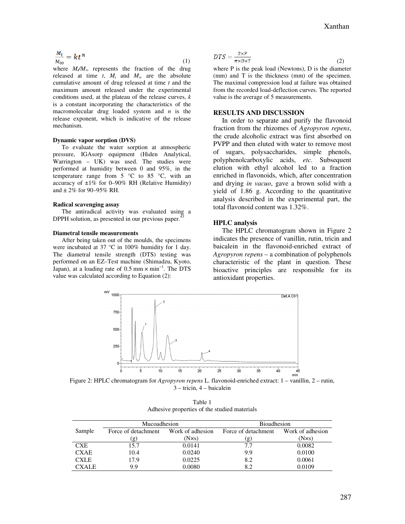$$
\frac{M_t}{M_{\infty}} = kt^n \tag{1}
$$

where  $M/M_{\infty}$  represents the fraction of the drug released at time *t*,  $M_t$  and  $M_\infty$  are the absolute cumulative amount of drug released at time *t* and the maximum amount released under the experimental conditions used, at the plateau of the release curves, *k* is a constant incorporating the characteristics of the macromolecular drug loaded system and *n* is the release exponent, which is indicative of the release mechanism.

#### **Dynamic vapor sorption (DVS)**

To evaluate the water sorption at atmospheric pressure, IGAsorp equipment (Hiden Analytical, Warrington – UK) was used. The studies were performed at humidity between 0 and 95%, in the temperature range from  $5^{\circ}$ C to  $85^{\circ}$ C, with an accuracy of  $\pm 1\%$  for 0–90% RH (Relative Humidity) and  $\pm 2\%$  for 90–95% RH.

#### **Radical scavenging assay**

The antiradical activity was evaluated using a DPPH solution, as presented in our previous paper.<sup>4</sup>

#### **Diametral tensile measurements**

After being taken out of the moulds, the specimens were incubated at 37 °C in 100% humidity for 1 day. The diametral tensile strength (DTS) testing was performed on an EZ–Test machine (Shimadzu, Kyoto, Japan), at a loading rate of  $0.5$  mm  $\times$  min<sup>-1</sup>. The DTS value was calculated according to Equation (2):

$$
DTS = \frac{2 \times P}{\pi \times D \times T} \tag{2}
$$

where P is the peak load (Newtons), D is the diameter (mm) and T is the thickness (mm) of the specimen. The maximal compression load at failure was obtained from the recorded load-deflection curves. The reported value is the average of 5 measurements.

# **RESULTS AND DISCUSSION**

In order to separate and purify the flavonoid fraction from the rhizomes of *Agropyron repens*, the crude alcoholic extract was first absorbed on PVPP and then eluted with water to remove most of sugars, polysaccharides, simple phenols, polyphenolcarboxylic acids, *etc*. Subsequent elution with ethyl alcohol led to a fraction enriched in flavonoids, which, after concentration and drying *in vacuo*, gave a brown solid with a yield of 1.86 g. According to the quantitative analysis described in the experimental part, the total flavonoid content was 1.32%.

#### **HPLC analysis**

The HPLC chromatogram shown in Figure 2 indicates the presence of vanillin, rutin, tricin and baicalein in the flavonoid-enriched extract of *Agropyron repens* – a combination of polyphenols characteristic of the plant in question. These bioactive principles are responsible for its antioxidant properties.



Figure 2: HPLC chromatogram for *Agropyron repens* L. flavonoid-enriched extract: 1 – vanillin, 2 – rutin, 3 – tricin, 4 – baicalein

| Table 1                                      |  |  |  |  |
|----------------------------------------------|--|--|--|--|
| Adhesive properties of the studied materials |  |  |  |  |

|              | Mucoadhesion        |                  | <b>Bioadhesion</b>         |                  |
|--------------|---------------------|------------------|----------------------------|------------------|
| Sample       | Force of detachment | Work of adhesion | Force of detachment        | Work of adhesion |
|              | $\mathbf{g}$        | $(N \times s)$   | $\left( \mathbf{g}\right)$ | $(N \times s)$   |
| <b>CXE</b>   | 15.7                | 0.0141           | 7.7                        | 0.0082           |
| <b>CXAE</b>  | 10.4                | 0.0240           | 9.9                        | 0.0100           |
| <b>CXLE</b>  | 17.9                | 0.0225           | 8.2                        | 0.0061           |
| <b>CXALE</b> | 9.9                 | 0.0080           | 8.2                        | 0.0109           |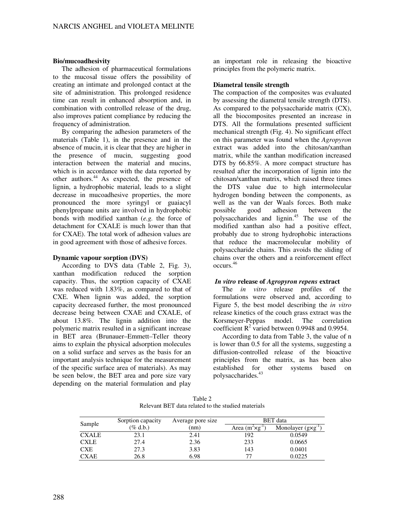## **Bio/mucoadhesivity**

The adhesion of pharmaceutical formulations to the mucosal tissue offers the possibility of creating an intimate and prolonged contact at the site of administration. This prolonged residence time can result in enhanced absorption and, in combination with controlled release of the drug, also improves patient compliance by reducing the frequency of administration.

By comparing the adhesion parameters of the materials (Table 1), in the presence and in the absence of mucin, it is clear that they are higher in the presence of mucin, suggesting good interaction between the material and mucins, which is in accordance with the data reported by other authors. $44$  As expected, the presence of lignin, a hydrophobic material, leads to a slight decrease in mucoadhesive properties, the more pronounced the more syringyl or guaiacyl phenylpropane units are involved in hydrophobic bonds with modified xanthan (*e.g.* the force of detachment for CXALE is much lower than that for CXAE). The total work of adhesion values are in good agreement with those of adhesive forces.

# **Dynamic vapour sorption (DVS)**

According to DVS data (Table 2, Fig. 3), xanthan modification reduced the sorption capacity. Thus, the sorption capacity of CXAE was reduced with 1.83%, as compared to that of CXE. When lignin was added, the sorption capacity decreased further, the most pronounced decrease being between CXAE and CXALE, of about 13.8%. The lignin addition into the polymeric matrix resulted in a significant increase in BET area (Brunauer–Emmett–Teller theory aims to explain the physical adsorption molecules on a solid surface and serves as the basis for an important analysis technique for the measurement of the specific surface area of materials). As may be seen below, the BET area and pore size vary depending on the material formulation and play

an important role in releasing the bioactive principles from the polymeric matrix.

#### **Diametral tensile strength**

The compaction of the composites was evaluated by assessing the diametral tensile strength (DTS). As compared to the polysaccharide matrix (CX), all the biocomposites presented an increase in DTS. All the formulations presented sufficient mechanical strength (Fig. 4). No significant effect on this parameter was found when the *Agropyron*  extract was added into the chitosan/xanthan matrix, while the xanthan modification increased DTS by 66.85%. A more compact structure has resulted after the incorporation of lignin into the chitosan/xanthan matrix, which raised three times the DTS value due to high intermolecular hydrogen bonding between the components, as well as the van der Waals forces. Both make possible good adhesion between the polysaccharides and lignin.<sup>45</sup> The use of the modified xanthan also had a positive effect, probably due to strong hydrophobic interactions that reduce the macromolecular mobility of polysaccharide chains. This avoids the sliding of chains over the others and a reinforcement effect occurs. 46

# *In vitro* **release of** *Agropyron repens* **extract**

The *in vitro* release profiles of the formulations were observed and, according to Figure 5, the best model describing the *in vitro* release kinetics of the couch grass extract was the Korsmeyer-Peppas model. The correlation coefficient  $R^2$  varied between 0.9948 and 0.9954.

According to data from Table 3, the value of n is lower than 0.5 for all the systems, suggesting a diffusion-controlled release of the bioactive principles from the matrix, as has been also established for other systems based on polysaccharides.<sup>43</sup>

Table 2 Relevant BET data related to the studied materials

| Sample       | Sorption capacity | Average pore size | <b>BET</b> data            |                               |  |
|--------------|-------------------|-------------------|----------------------------|-------------------------------|--|
|              | (% d.b.)          | (nm)              | Area $(m^2 \times g^{-1})$ | Monolayer $(g \times g^{-1})$ |  |
| <b>CXALE</b> | 23.1              | 2.41              | 192                        | 0.0549                        |  |
| <b>CXLE</b>  | 27.4              | 2.36              | 233                        | 0.0665                        |  |
| <b>CXE</b>   | 27.3              | 3.83              | 143                        | 0.0401                        |  |
| <b>CXAE</b>  | 26.8              | 6.98              |                            | 0.0225                        |  |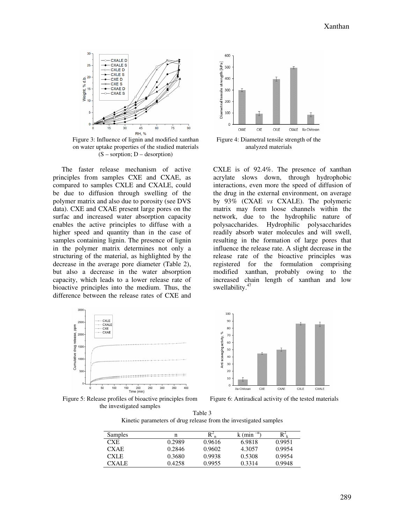

Figure 3: Influence of lignin and modified xanthan on water uptake properties of the studied materials  $(S -$ sorption;  $D -$ desorption)

The faster release mechanism of active principles from samples CXE and CXAE, as compared to samples CXLE and CXALE, could be due to diffusion through swelling of the polymer matrix and also due to porosity (see DVS data). CXE and CXAE present large pores on the surfac and increased water absorption capacity enables the active principles to diffuse with a higher speed and quantity than in the case of samples containing lignin. The presence of lignin in the polymer matrix determines not only a structuring of the material, as highlighted by the decrease in the average pore diameter (Table 2), but also a decrease in the water absorption capacity, which leads to a lower release rate of bioactive principles into the medium. Thus, the difference between the release rates of CXE and



Figure 4: Diametral tensile strength of the analyzed materials

CXLE is of 92.4%. The presence of xanthan acrylate slows down, through hydrophobic interactions, even more the speed of diffusion of the drug in the external environment, on average by 93% (CXAE *vs* CXALE). The polymeric matrix may form loose channels within the network, due to the hydrophilic nature of polysaccharides. Hydrophilic polysaccharides readily absorb water molecules and will swell, resulting in the formation of large pores that influence the release rate. A slight decrease in the release rate of the bioactive principles was registered for the formulation comprising modified xanthan, probably owing to the increased chain length of xanthan and low swellability.<sup>47</sup>



Figure 5: Release profiles of bioactive principles from the investigated samples



Figure 6: Antiradical activity of the tested materials

| Table 3                                                          |
|------------------------------------------------------------------|
| Kinetic parameters of drug release from the investigated samples |

| <b>Samples</b> |        | $R^2$  | k (min <sup>-n</sup> ) | $R^2\nu$ |
|----------------|--------|--------|------------------------|----------|
| CXE.           | 0.2989 | 0.9616 | 6.9818                 | 0.9951   |
| <b>CXAE</b>    | 0.2846 | 0.9602 | 4.3057                 | 0.9954   |
| <b>CXLE</b>    | 0.3680 | 0.9938 | 0.5308                 | 0.9954   |
| CXALE          | 0.4258 | 0.9955 | 0.3314                 | 0.9948   |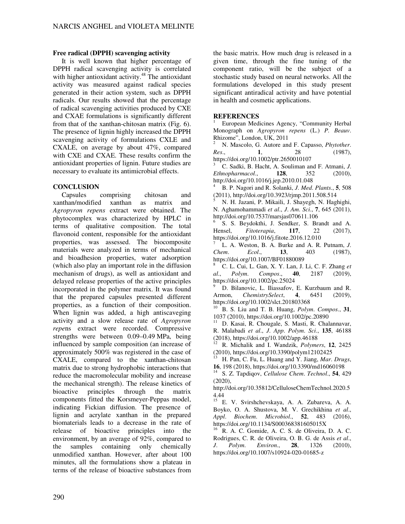# **Free radical (DPPH) scavenging activity**

It is well known that higher percentage of DPPH radical scavenging activity is correlated with higher antioxidant activity.<sup>48</sup> The antioxidant activity was measured against radical species generated in their action system, such as DPPH radicals. Our results showed that the percentage of radical scavenging activities produced by CXE and CXAE formulations is significantly different from that of the xanthan-chitosan matrix (Fig. 6). The presence of lignin highly increased the DPPH scavenging activity of formulations CXLE and CXALE, on average by about 47%, compared with CXE and CXAE. These results confirm the antioxidant properties of lignin. Future studies are necessary to evaluate its antimicrobial effects.

# **CONCLUSION**

Capsules comprising chitosan and xanthan/modified xanthan as matrix and *Agropyron repens* extract were obtained. The phytocomplex was characterized by HPLC in terms of qualitative composition. The total flavonoid content, responsible for the antioxidant properties, was assessed. The biocomposite materials were analyzed in terms of mechanical and bioadhesion properties, water adsorption (which also play an important role in the diffusion mechanism of drugs), as well as antioxidant and delayed release properties of the active principles incorporated in the polymer matrix. It was found that the prepared capsules presented different properties, as a function of their composition. When lignin was added, a high antiscaveging activity and a slow release rate of *Agropyron repe*ns extract were recorded. Compressive strengths were between 0.09–0.49 MPa, being influenced by sample composition (an increase of approximately 500% was registered in the case of CXALE, compared to the xanthan-chitosan matrix due to strong hydrophobic interactions that reduce the macromolecular mobility and increase the mechanical strength). The release kinetics of bioactive principles through the matrix components fitted the Korsmeyer-Peppas model, indicating Fickian diffusion. The presence of lignin and acrylate xanthan in the prepared biomaterials leads to a decrease in the rate of release of bioactive principles into the environment, by an average of 92%, compared to the samples containing only chemically unmodified xanthan. However, after about 100 minutes, all the formulations show a plateau in terms of the release of bioactive substances from

the basic matrix. How much drug is released in a given time, through the fine tuning of the component ratio, will be the subject of a stochastic study based on neural networks. All the formulations developed in this study present significant antiradical activity and have potential in health and cosmetic applications.

# **REFERENCES**

1 European Medicines Agency, "Community Herbal Monograph on *Agropyron repens* (L.) *P. Beauv*. Rhizome", London, UK, 2011

<sup>2</sup> N. Mascolo, G. Autore and F. Capasso, *Phytother*. *Res*., **1**, 28 (1987), https://doi.org/10.1002/ptr.2650010107

<sup>3</sup> C. Sadki, B. Hacht, A. Souliman and F. Atmani, *J*. *Ethnopharmacol*., **128**, 352 (2010), http://doi.org/10.1016/j.jep.2010.01.048

<sup>4</sup> B. P. Nagori and R. Solanki, *J*. *Med*. *Plants*., **5**, 508 (2011), http://doi.org/10.3923/rjmp.2011.508.514

<sup>5</sup> N. H. Jazani, P. Mikaili, J. Shayegh, N. Haghighi, N. Aghamohammadi *et al*., *J*. *Am*. *Sci*., **7**, 645 (2011), http://doi.org/10.7537/marsjas070611.106

6 S. S. Beydokthi, J. Sendker, S. Brandt and A. Hensel, *Fitoterapia*, **117**, 22 (2017), https://doi.org/10.1016/j.fitote.2016.12.010

<sup>7</sup> L. A. Weston, B. A. Burke and A. R. Putnam, *J*. *Chem*. *Ecol*., **13**, 403 (1987), https://doi.org/10.1007/BF01880089

<sup>8</sup> C. L. Cui, L. Gan, X. Y. Lan, J. Li, C. F. Zhang *et al*., *Polym*. *Compos*., **40**, 2187 (2019), https://doi.org/10.1002/pc.25024

<sup>9</sup> D. Bilanovic, L. Iliassafov, E. Kurzbaum and R. Armon, *ChemistrySelect*, **4**, 6451 (2019), https://doi.org/10.1002/slct.201803368

<sup>10</sup> B. S. Liu and T. B. Huang, *Polym*. *Compos*., **31**, 1037 (2010), https://doi.org/10.1002/pc.20890

<sup>11</sup> D. Kasai, R. Chougale, S. Masti, R. Chalannavar, R. Malabadi *et al*., *J*. *App*. *Polym*. *Sci*., **135**, 46188 (2018), https://doi.org/10.1002/app.46188

<sup>12</sup> R. Michalik and I. Wandzik, *Polymers*, **12**, 2425 (2010), https://doi.org/10.3390/polym12102425

<sup>13</sup> H. Pan, C. Fu, L. Huang and Y. Jiang, *Mar*. *Drugs*, **16**, 198 (2018), https://doi.org/10.3390/md16060198

<sup>14</sup> S. Z. Tapdiqov, *Cellulose Chem*. *Technol*., **54**, 429 (2020),

http://doi.org/10.35812/CelluloseChemTechnol.2020.5 4.44

<sup>15</sup> E. V. Svirshchevskaya, A. A. Zubareva, A. A. Boyko, O. A. Shustova, M. V. Grechikhina *et al*., *Appl*. *Biochem*. *Microbiol*., **52**, 483 (2016), https://doi.org/10.1134/S000368381605015X

<sup>16</sup> R. A. C. Gomide, A. C. S. de Oliveira, D. A. C. Rodrigues, C. R. de Oliveira, O. B. G. de Assis *et al*., *J*. *Polym*. *Environ*., **28**, 1326 (2010), https://doi.org/10.1007/s10924-020-01685-z